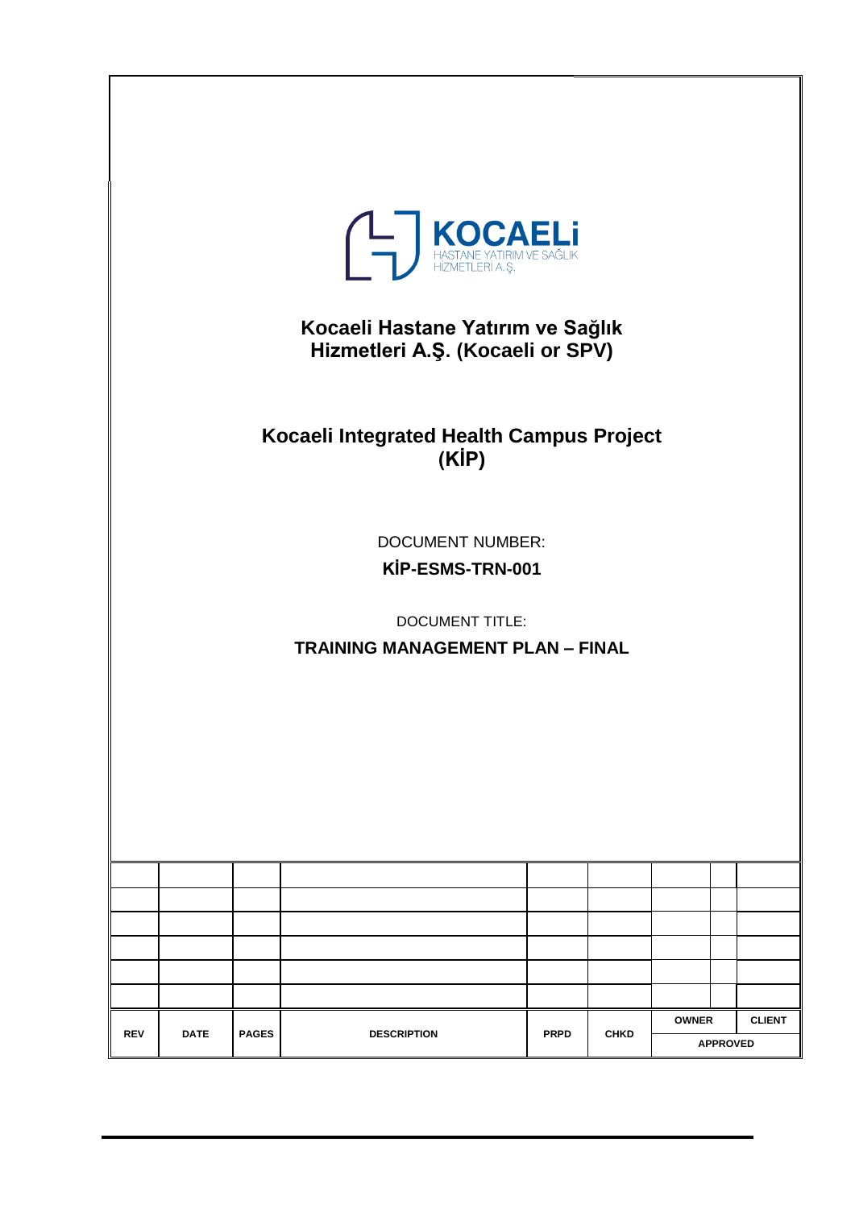| <b>THASTANE YATIRIM VE SAĞLIK</b><br>Kocaeli Hastane Yatırım ve Sağlık<br>Hizmetleri A.Ş. (Kocaeli or SPV)       |             |              |                                                   |             |             |              |                 |               |
|------------------------------------------------------------------------------------------------------------------|-------------|--------------|---------------------------------------------------|-------------|-------------|--------------|-----------------|---------------|
|                                                                                                                  |             |              | Kocaeli Integrated Health Campus Project<br>(KIP) |             |             |              |                 |               |
| <b>DOCUMENT NUMBER:</b><br>KİP-ESMS-TRN-001<br><b>DOCUMENT TITLE:</b><br><b>TRAINING MANAGEMENT PLAN - FINAL</b> |             |              |                                                   |             |             |              |                 |               |
|                                                                                                                  |             |              |                                                   |             |             |              |                 |               |
|                                                                                                                  |             |              |                                                   |             |             |              |                 |               |
|                                                                                                                  |             |              |                                                   |             |             |              |                 |               |
|                                                                                                                  |             |              |                                                   |             |             |              |                 |               |
|                                                                                                                  |             |              |                                                   |             |             |              |                 |               |
| <b>REV</b>                                                                                                       | <b>DATE</b> | <b>PAGES</b> | <b>DESCRIPTION</b>                                | <b>PRPD</b> | <b>CHKD</b> | <b>OWNER</b> |                 | <b>CLIENT</b> |
|                                                                                                                  |             |              |                                                   |             |             |              | <b>APPROVED</b> |               |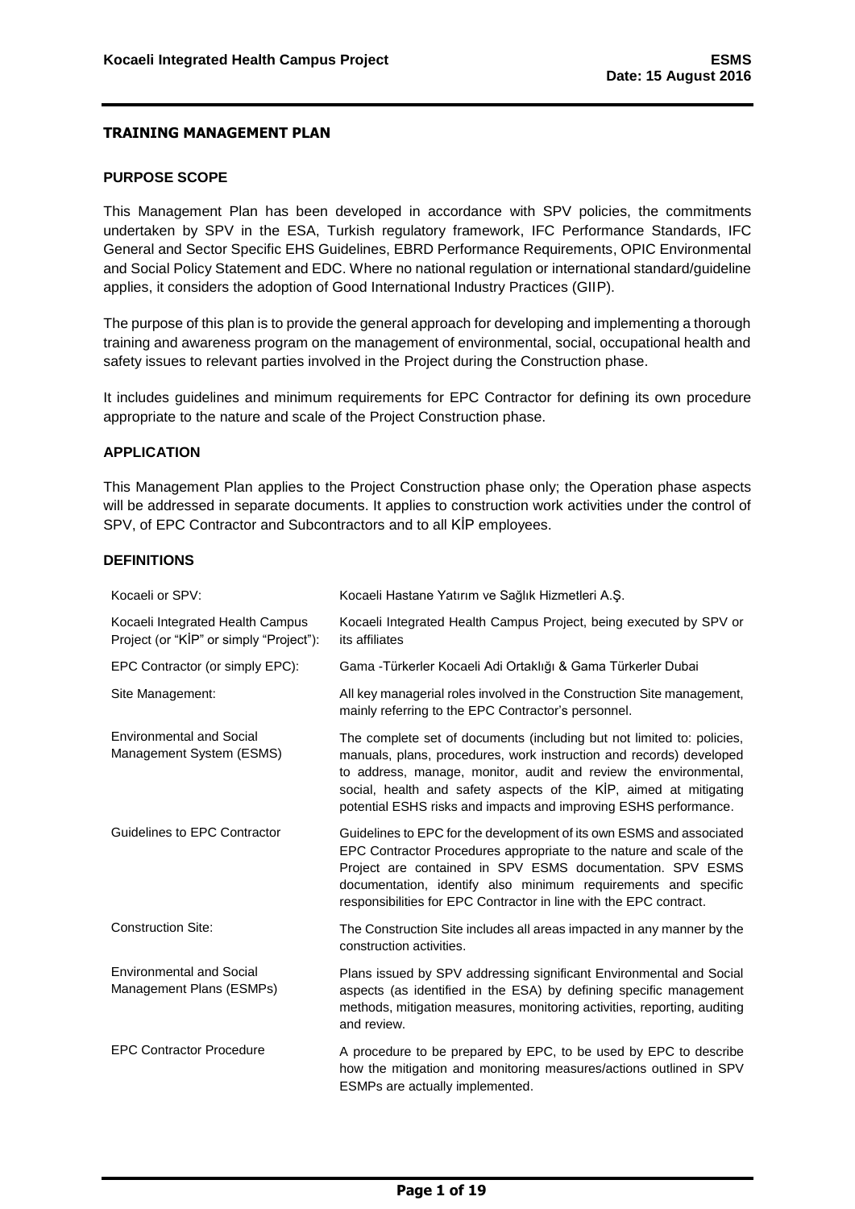#### <span id="page-1-0"></span>**PURPOSE SCOPE**

This Management Plan has been developed in accordance with SPV policies, the commitments undertaken by SPV in the ESA, Turkish regulatory framework, IFC Performance Standards, IFC General and Sector Specific EHS Guidelines, EBRD Performance Requirements, OPIC Environmental and Social Policy Statement and EDC. Where no national regulation or international standard/guideline applies, it considers the adoption of Good International Industry Practices (GIIP).

The purpose of this plan is to provide the general approach for developing and implementing a thorough training and awareness program on the management of environmental, social, occupational health and safety issues to relevant parties involved in the Project during the Construction phase.

It includes guidelines and minimum requirements for EPC Contractor for defining its own procedure appropriate to the nature and scale of the Project Construction phase.

#### <span id="page-1-1"></span>**APPLICATION**

This Management Plan applies to the Project Construction phase only; the Operation phase aspects will be addressed in separate documents. It applies to construction work activities under the control of SPV, of EPC Contractor and Subcontractors and to all KİP employees.

### <span id="page-1-2"></span>**DEFINITIONS**

| Kocaeli or SPV:                                                             | Kocaeli Hastane Yatırım ve Sağlık Hizmetleri A.Ş.                                                                                                                                                                                                                                                                                                          |
|-----------------------------------------------------------------------------|------------------------------------------------------------------------------------------------------------------------------------------------------------------------------------------------------------------------------------------------------------------------------------------------------------------------------------------------------------|
| Kocaeli Integrated Health Campus<br>Project (or "KİP" or simply "Project"): | Kocaeli Integrated Health Campus Project, being executed by SPV or<br>its affiliates                                                                                                                                                                                                                                                                       |
| EPC Contractor (or simply EPC):                                             | Gama - Türkerler Kocaeli Adi Ortaklığı & Gama Türkerler Dubai                                                                                                                                                                                                                                                                                              |
| Site Management:                                                            | All key managerial roles involved in the Construction Site management,<br>mainly referring to the EPC Contractor's personnel.                                                                                                                                                                                                                              |
| <b>Environmental and Social</b><br>Management System (ESMS)                 | The complete set of documents (including but not limited to: policies,<br>manuals, plans, procedures, work instruction and records) developed<br>to address, manage, monitor, audit and review the environmental,<br>social, health and safety aspects of the KIP, aimed at mitigating<br>potential ESHS risks and impacts and improving ESHS performance. |
| Guidelines to EPC Contractor                                                | Guidelines to EPC for the development of its own ESMS and associated<br>EPC Contractor Procedures appropriate to the nature and scale of the<br>Project are contained in SPV ESMS documentation. SPV ESMS<br>documentation, identify also minimum requirements and specific<br>responsibilities for EPC Contractor in line with the EPC contract.          |
| <b>Construction Site:</b>                                                   | The Construction Site includes all areas impacted in any manner by the<br>construction activities.                                                                                                                                                                                                                                                         |
| <b>Environmental and Social</b><br>Management Plans (ESMPs)                 | Plans issued by SPV addressing significant Environmental and Social<br>aspects (as identified in the ESA) by defining specific management<br>methods, mitigation measures, monitoring activities, reporting, auditing<br>and review.                                                                                                                       |
| <b>EPC Contractor Procedure</b>                                             | A procedure to be prepared by EPC, to be used by EPC to describe<br>how the mitigation and monitoring measures/actions outlined in SPV<br>ESMPs are actually implemented.                                                                                                                                                                                  |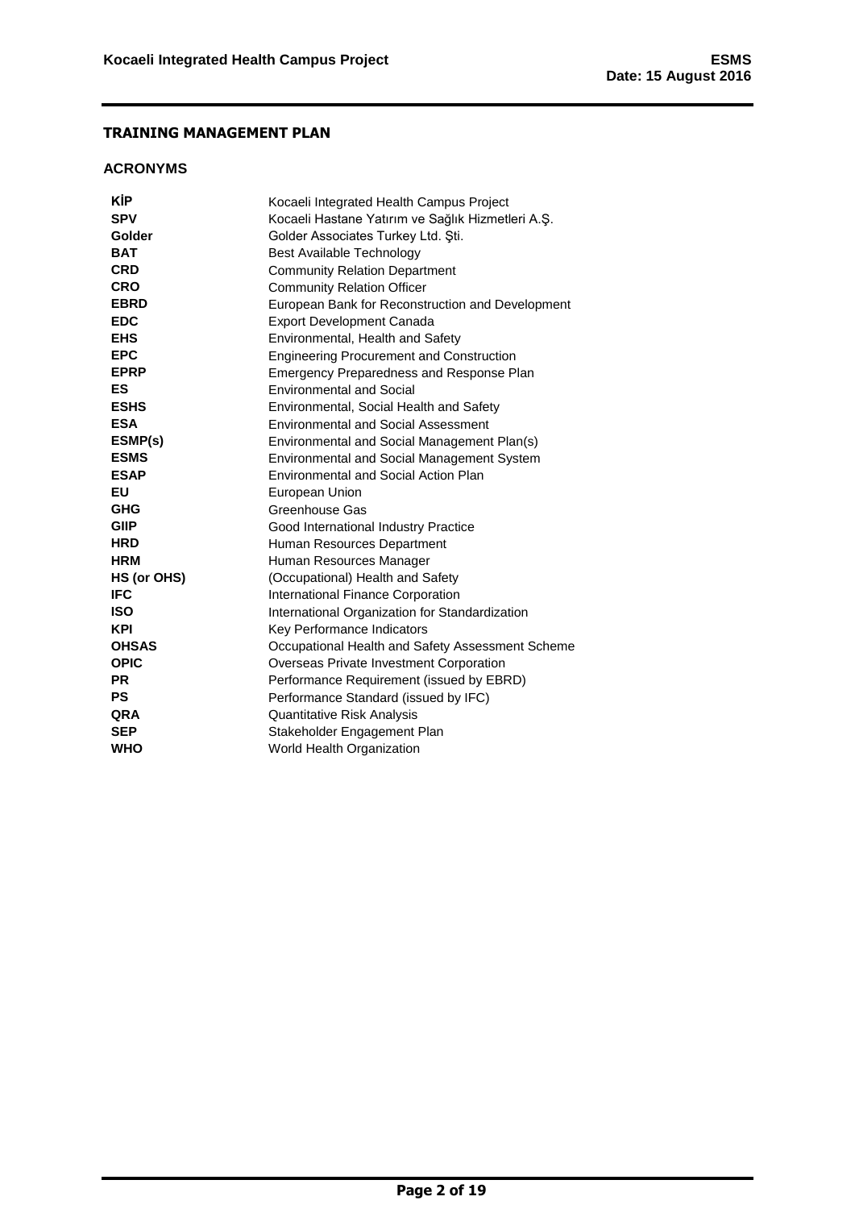## <span id="page-2-0"></span>**ACRONYMS**

| KİP          | Kocaeli Integrated Health Campus Project          |
|--------------|---------------------------------------------------|
| <b>SPV</b>   | Kocaeli Hastane Yatırım ve Sağlık Hizmetleri A.Ş. |
| Golder       | Golder Associates Turkey Ltd. Sti.                |
| <b>BAT</b>   | Best Available Technology                         |
| <b>CRD</b>   | <b>Community Relation Department</b>              |
| <b>CRO</b>   | <b>Community Relation Officer</b>                 |
| <b>EBRD</b>  | European Bank for Reconstruction and Development  |
| <b>EDC</b>   | <b>Export Development Canada</b>                  |
| <b>EHS</b>   | Environmental, Health and Safety                  |
| <b>EPC</b>   | <b>Engineering Procurement and Construction</b>   |
| <b>EPRP</b>  | Emergency Preparedness and Response Plan          |
| ES           | <b>Environmental and Social</b>                   |
| <b>ESHS</b>  | Environmental, Social Health and Safety           |
| <b>ESA</b>   | <b>Environmental and Social Assessment</b>        |
| ESMP(s)      | Environmental and Social Management Plan(s)       |
| <b>ESMS</b>  | Environmental and Social Management System        |
| <b>ESAP</b>  | Environmental and Social Action Plan              |
| EU           | European Union                                    |
| GHG          | Greenhouse Gas                                    |
| <b>GIIP</b>  | Good International Industry Practice              |
| <b>HRD</b>   | Human Resources Department                        |
| <b>HRM</b>   | Human Resources Manager                           |
| HS (or OHS)  | (Occupational) Health and Safety                  |
| <b>IFC</b>   | International Finance Corporation                 |
| <b>ISO</b>   | International Organization for Standardization    |
| <b>KPI</b>   | Key Performance Indicators                        |
| <b>OHSAS</b> | Occupational Health and Safety Assessment Scheme  |
| <b>OPIC</b>  | Overseas Private Investment Corporation           |
| <b>PR</b>    | Performance Requirement (issued by EBRD)          |
| <b>PS</b>    | Performance Standard (issued by IFC)              |
| <b>QRA</b>   | Quantitative Risk Analysis                        |
| <b>SEP</b>   | Stakeholder Engagement Plan                       |
| WHO          | World Health Organization                         |
|              |                                                   |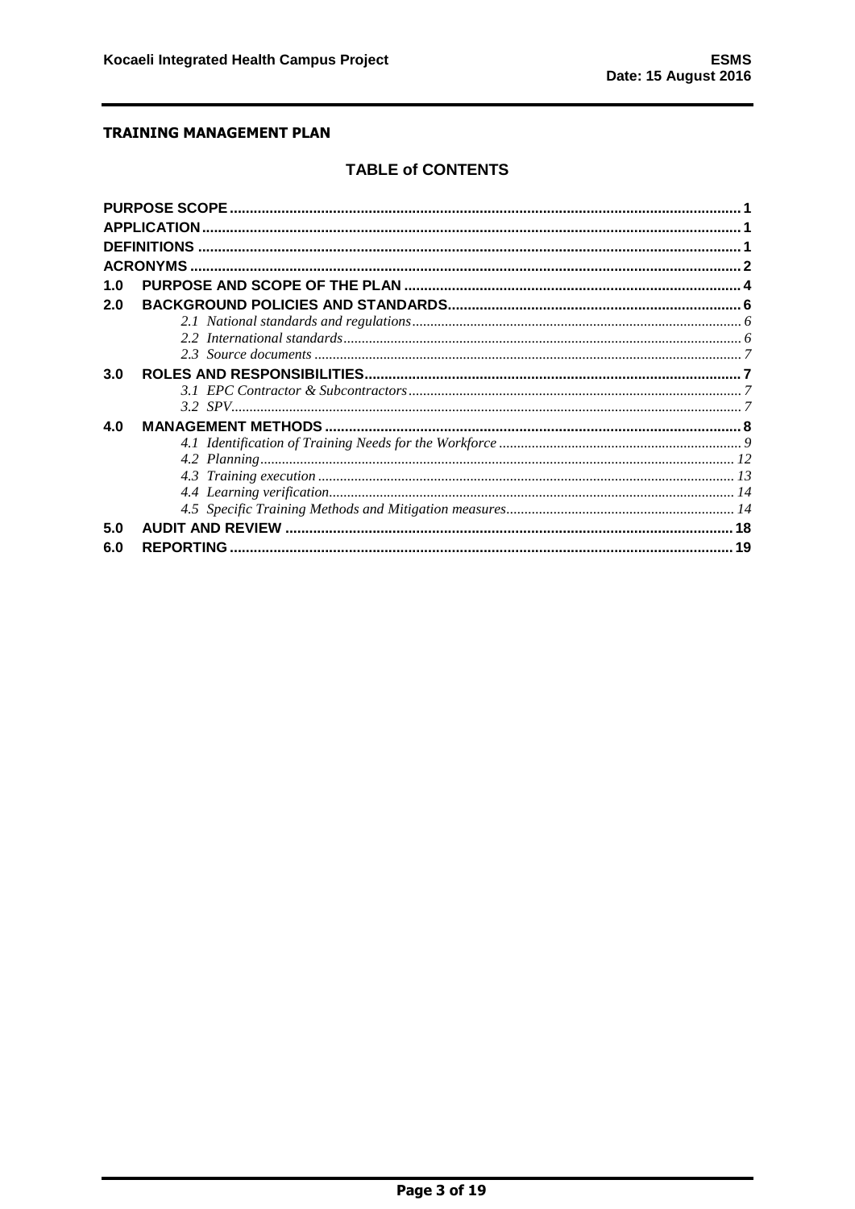# **TABLE of CONTENTS**

|     | <b>APPLICATION</b> |    |
|-----|--------------------|----|
|     |                    |    |
|     |                    |    |
| 1.0 |                    |    |
| 2.0 |                    |    |
|     |                    |    |
|     |                    |    |
|     |                    |    |
| 3.0 |                    |    |
|     |                    |    |
|     |                    |    |
| 4.0 |                    |    |
|     |                    |    |
|     |                    |    |
|     |                    |    |
|     |                    |    |
|     |                    |    |
| 5.0 |                    |    |
| 6.0 |                    | 19 |
|     |                    |    |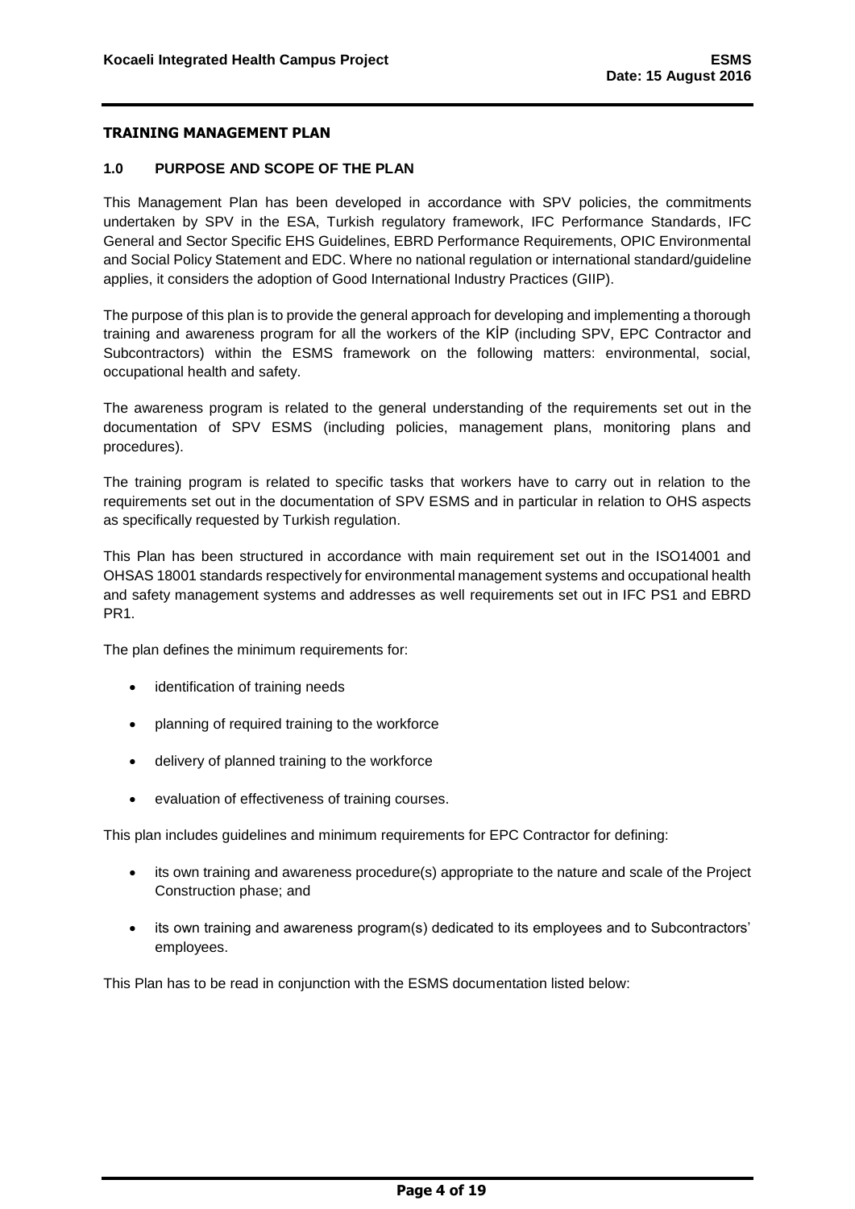#### <span id="page-4-0"></span>**1.0 PURPOSE AND SCOPE OF THE PLAN**

This Management Plan has been developed in accordance with SPV policies, the commitments undertaken by SPV in the ESA, Turkish regulatory framework, IFC Performance Standards, IFC General and Sector Specific EHS Guidelines, EBRD Performance Requirements, OPIC Environmental and Social Policy Statement and EDC. Where no national regulation or international standard/guideline applies, it considers the adoption of Good International Industry Practices (GIIP).

The purpose of this plan is to provide the general approach for developing and implementing a thorough training and awareness program for all the workers of the KİP (including SPV, EPC Contractor and Subcontractors) within the ESMS framework on the following matters: environmental, social, occupational health and safety.

The awareness program is related to the general understanding of the requirements set out in the documentation of SPV ESMS (including policies, management plans, monitoring plans and procedures).

The training program is related to specific tasks that workers have to carry out in relation to the requirements set out in the documentation of SPV ESMS and in particular in relation to OHS aspects as specifically requested by Turkish regulation.

This Plan has been structured in accordance with main requirement set out in the ISO14001 and OHSAS 18001 standards respectively for environmental management systems and occupational health and safety management systems and addresses as well requirements set out in IFC PS1 and EBRD PR1.

The plan defines the minimum requirements for:

- identification of training needs
- planning of required training to the workforce
- delivery of planned training to the workforce
- evaluation of effectiveness of training courses.

This plan includes guidelines and minimum requirements for EPC Contractor for defining:

- its own training and awareness procedure(s) appropriate to the nature and scale of the Project Construction phase; and
- its own training and awareness program(s) dedicated to its employees and to Subcontractors' employees.

This Plan has to be read in conjunction with the ESMS documentation listed below: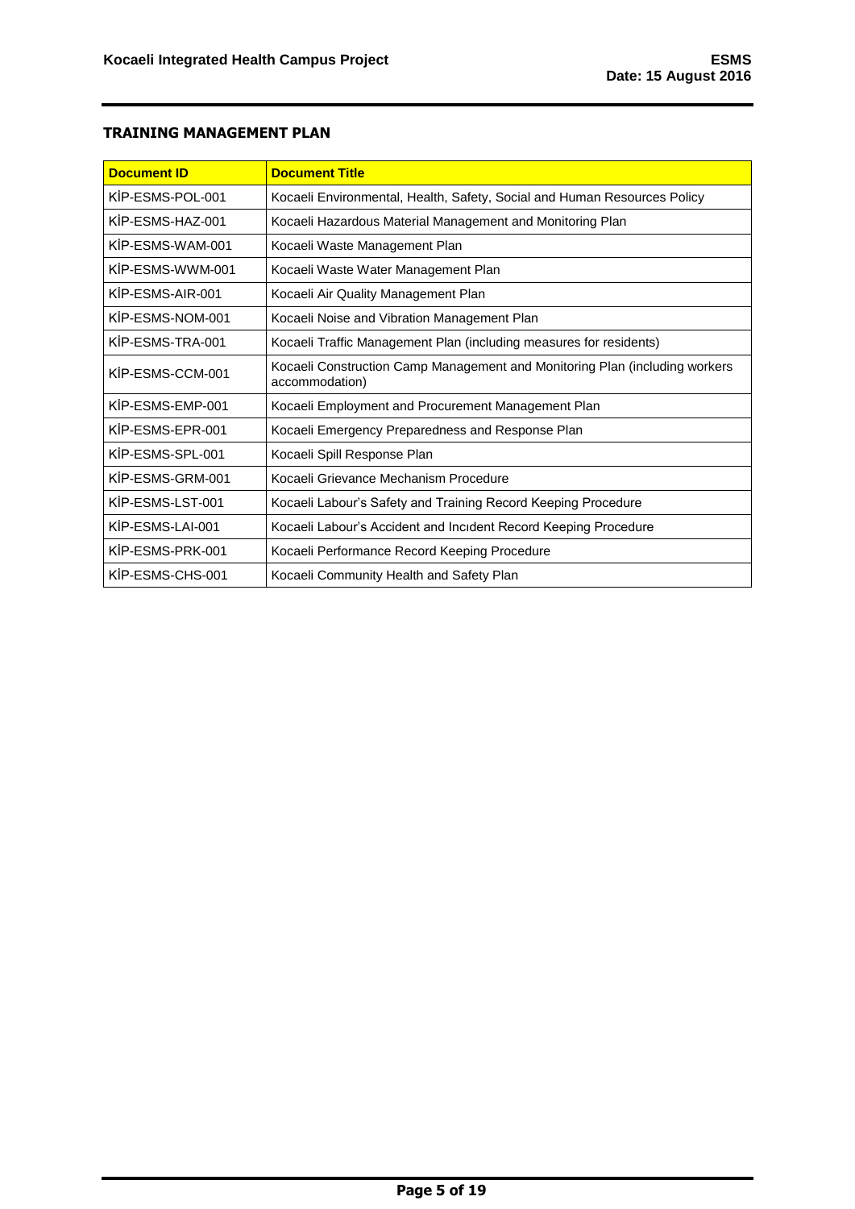| <b>Document ID</b> | <b>Document Title</b>                                                                         |  |  |
|--------------------|-----------------------------------------------------------------------------------------------|--|--|
| KIP-ESMS-POL-001   | Kocaeli Environmental, Health, Safety, Social and Human Resources Policy                      |  |  |
| KIP-ESMS-HAZ-001   | Kocaeli Hazardous Material Management and Monitoring Plan                                     |  |  |
| KİP-FSMS-WAM-001   | Kocaeli Waste Management Plan                                                                 |  |  |
| KİP-ESMS-WWM-001   | Kocaeli Waste Water Management Plan                                                           |  |  |
| KIP-ESMS-AIR-001   | Kocaeli Air Quality Management Plan                                                           |  |  |
| KIP-ESMS-NOM-001   | Kocaeli Noise and Vibration Management Plan                                                   |  |  |
| KIP-ESMS-TRA-001   | Kocaeli Traffic Management Plan (including measures for residents)                            |  |  |
| KIP-ESMS-CCM-001   | Kocaeli Construction Camp Management and Monitoring Plan (including workers<br>accommodation) |  |  |
| KIP-ESMS-EMP-001   | Kocaeli Employment and Procurement Management Plan                                            |  |  |
| KİP-ESMS-EPR-001   | Kocaeli Emergency Preparedness and Response Plan                                              |  |  |
| KIP-ESMS-SPL-001   | Kocaeli Spill Response Plan                                                                   |  |  |
| KIP-ESMS-GRM-001   | Kocaeli Grievance Mechanism Procedure                                                         |  |  |
| KIP-ESMS-LST-001   | Kocaeli Labour's Safety and Training Record Keeping Procedure                                 |  |  |
| KIP-ESMS-LAI-001   | Kocaeli Labour's Accident and Incident Record Keeping Procedure                               |  |  |
| KIP-ESMS-PRK-001   | Kocaeli Performance Record Keeping Procedure                                                  |  |  |
| KIP-ESMS-CHS-001   | Kocaeli Community Health and Safety Plan                                                      |  |  |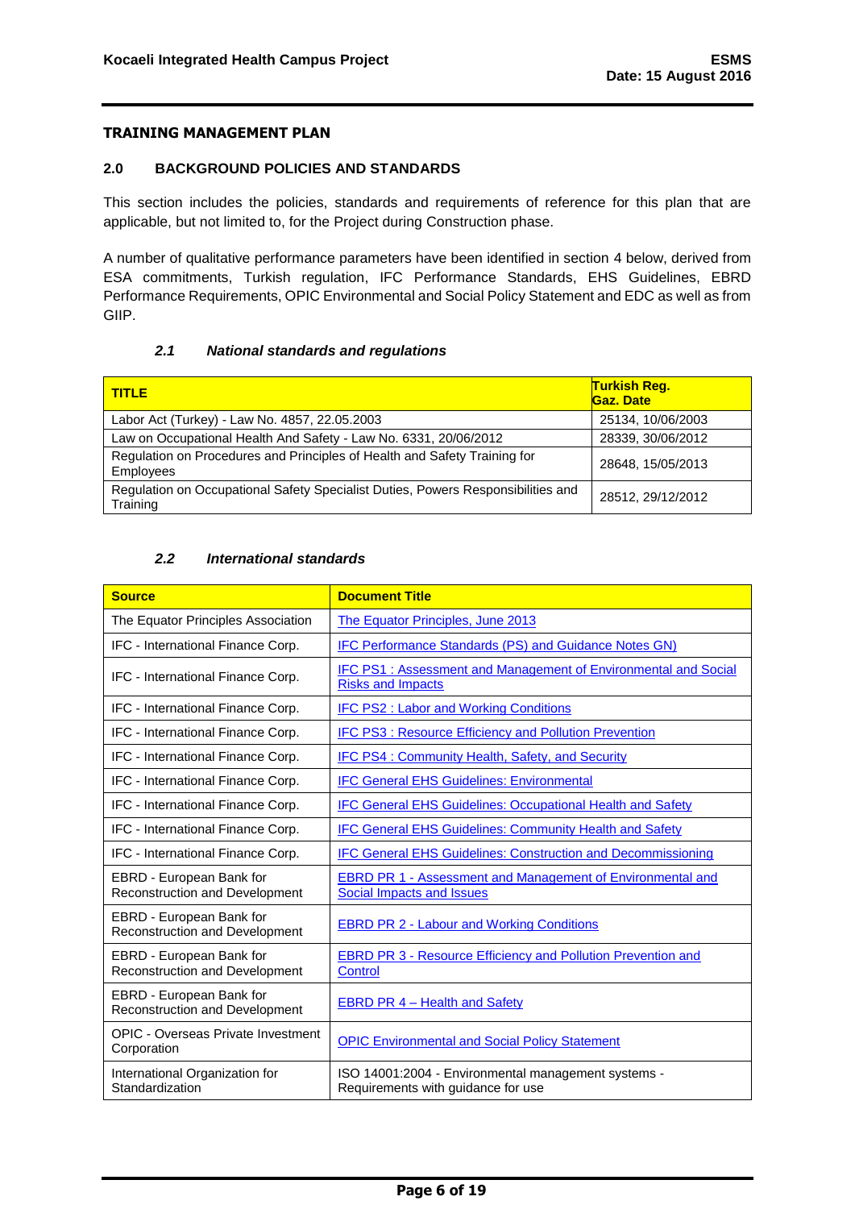#### <span id="page-6-0"></span>**2.0 BACKGROUND POLICIES AND STANDARDS**

This section includes the policies, standards and requirements of reference for this plan that are applicable, but not limited to, for the Project during Construction phase.

A number of qualitative performance parameters have been identified in section 4 below, derived from ESA commitments, Turkish regulation, IFC Performance Standards, EHS Guidelines, EBRD Performance Requirements, OPIC Environmental and Social Policy Statement and EDC as well as from GIIP.

#### *2.1 National standards and regulations*

<span id="page-6-1"></span>

| <b>TITLE</b>                                                                                  | <b>Turkish Req.</b><br>Gaz. Date |
|-----------------------------------------------------------------------------------------------|----------------------------------|
| Labor Act (Turkey) - Law No. 4857, 22.05.2003                                                 | 25134, 10/06/2003                |
| Law on Occupational Health And Safety - Law No. 6331, 20/06/2012                              | 28339, 30/06/2012                |
| Regulation on Procedures and Principles of Health and Safety Training for<br><b>Employees</b> | 28648, 15/05/2013                |
| Regulation on Occupational Safety Specialist Duties, Powers Responsibilities and<br>Training  | 28512, 29/12/2012                |

## *2.2 International standards*

<span id="page-6-2"></span>

| <b>Source</b>                                                     | <b>Document Title</b>                                                                                 |
|-------------------------------------------------------------------|-------------------------------------------------------------------------------------------------------|
| The Equator Principles Association                                | The Equator Principles, June 2013                                                                     |
| IFC - International Finance Corp.                                 | IFC Performance Standards (PS) and Guidance Notes GN)                                                 |
| IFC - International Finance Corp.                                 | <b>IFC PS1: Assessment and Management of Environmental and Social</b><br><b>Risks and Impacts</b>     |
| IFC - International Finance Corp.                                 | <b>IFC PS2: Labor and Working Conditions</b>                                                          |
| IFC - International Finance Corp.                                 | IFC PS3 : Resource Efficiency and Pollution Prevention                                                |
| IFC - International Finance Corp.                                 | <b>IFC PS4: Community Health, Safety, and Security</b>                                                |
| IFC - International Finance Corp.                                 | <b>IFC General EHS Guidelines: Environmental</b>                                                      |
| IFC - International Finance Corp.                                 | <b>IFC General EHS Guidelines: Occupational Health and Safety</b>                                     |
| IFC - International Finance Corp.                                 | <b>IFC General EHS Guidelines: Community Health and Safety</b>                                        |
| IFC - International Finance Corp.                                 | <b>IFC General EHS Guidelines: Construction and Decommissioning</b>                                   |
| EBRD - European Bank for<br><b>Reconstruction and Development</b> | <b>EBRD PR 1 - Assessment and Management of Environmental and</b><br><b>Social Impacts and Issues</b> |
| EBRD - European Bank for<br><b>Reconstruction and Development</b> | <b>EBRD PR 2 - Labour and Working Conditions</b>                                                      |
| EBRD - European Bank for<br>Reconstruction and Development        | <b>EBRD PR 3 - Resource Efficiency and Pollution Prevention and</b><br>Control                        |
| EBRD - European Bank for<br>Reconstruction and Development        | <b>EBRD PR 4 - Health and Safety</b>                                                                  |
| <b>OPIC - Overseas Private Investment</b><br>Corporation          | <b>OPIC Environmental and Social Policy Statement</b>                                                 |
| International Organization for<br>Standardization                 | ISO 14001:2004 - Environmental management systems -<br>Requirements with guidance for use             |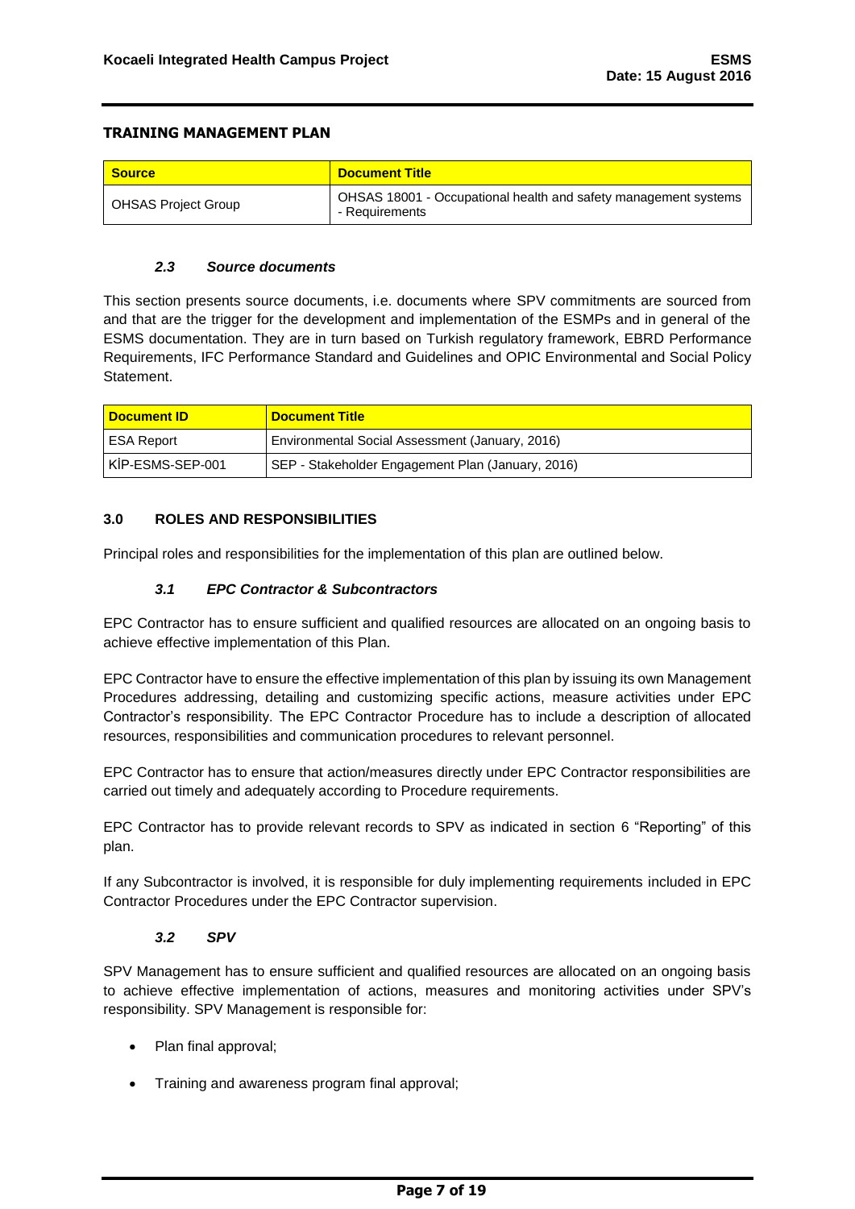| <b>Source</b>              | <b>Document Title</b>                                                             |
|----------------------------|-----------------------------------------------------------------------------------|
| <b>OHSAS Project Group</b> | OHSAS 18001 - Occupational health and safety management systems<br>- Requirements |

## *2.3 Source documents*

<span id="page-7-0"></span>This section presents source documents, i.e. documents where SPV commitments are sourced from and that are the trigger for the development and implementation of the ESMPs and in general of the ESMS documentation. They are in turn based on Turkish regulatory framework, EBRD Performance Requirements, IFC Performance Standard and Guidelines and OPIC Environmental and Social Policy **Statement** 

| <b>Document ID</b> | <b>Document Title</b>                             |
|--------------------|---------------------------------------------------|
| I ESA Report       | Environmental Social Assessment (January, 2016)   |
| KIP-ESMS-SEP-001   | SEP - Stakeholder Engagement Plan (January, 2016) |

## <span id="page-7-1"></span>**3.0 ROLES AND RESPONSIBILITIES**

Principal roles and responsibilities for the implementation of this plan are outlined below.

## *3.1 EPC Contractor & Subcontractors*

<span id="page-7-2"></span>EPC Contractor has to ensure sufficient and qualified resources are allocated on an ongoing basis to achieve effective implementation of this Plan.

EPC Contractor have to ensure the effective implementation of this plan by issuing its own Management Procedures addressing, detailing and customizing specific actions, measure activities under EPC Contractor's responsibility. The EPC Contractor Procedure has to include a description of allocated resources, responsibilities and communication procedures to relevant personnel.

EPC Contractor has to ensure that action/measures directly under EPC Contractor responsibilities are carried out timely and adequately according to Procedure requirements.

EPC Contractor has to provide relevant records to SPV as indicated in section 6 "Reporting" of this plan.

If any Subcontractor is involved, it is responsible for duly implementing requirements included in EPC Contractor Procedures under the EPC Contractor supervision.

## *3.2 SPV*

<span id="page-7-3"></span>SPV Management has to ensure sufficient and qualified resources are allocated on an ongoing basis to achieve effective implementation of actions, measures and monitoring activities under SPV's responsibility. SPV Management is responsible for:

- Plan final approval;
- Training and awareness program final approval;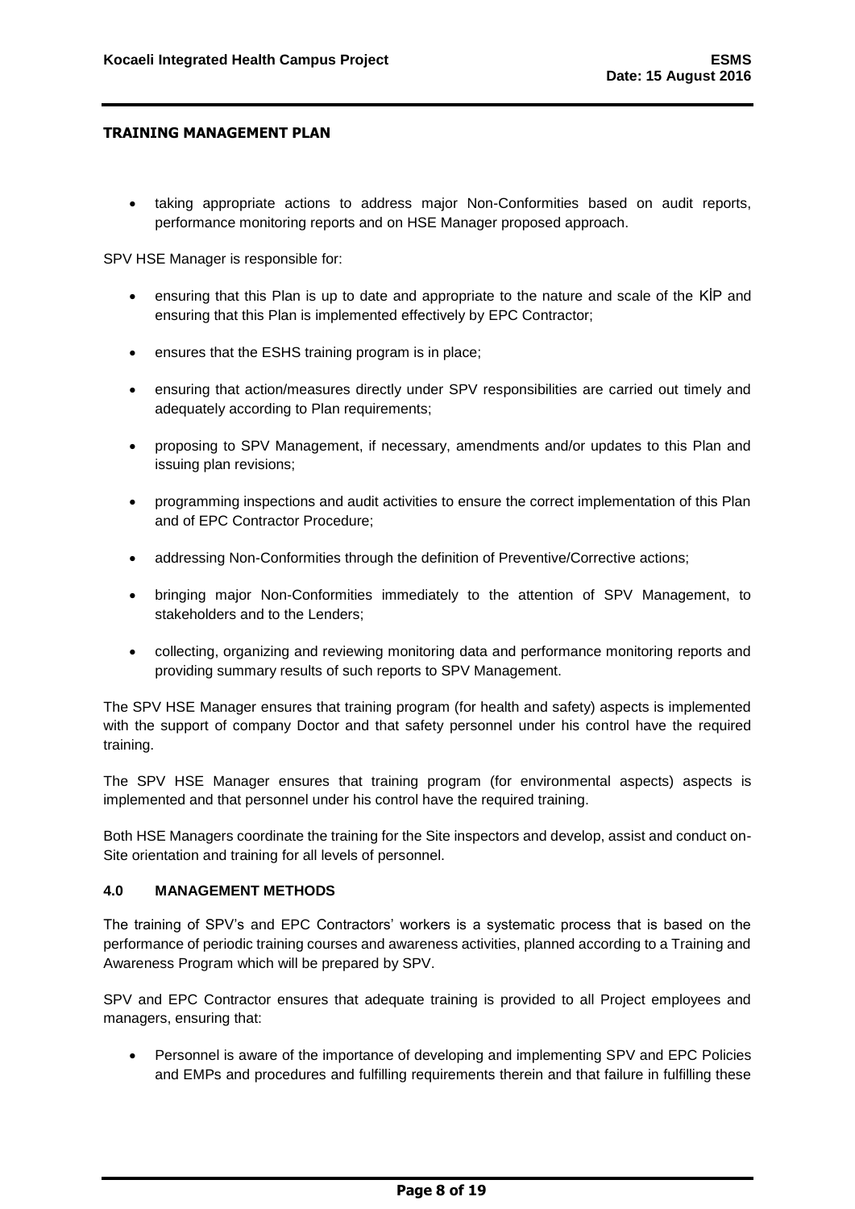taking appropriate actions to address major Non-Conformities based on audit reports, performance monitoring reports and on HSE Manager proposed approach.

SPV HSE Manager is responsible for:

- ensuring that this Plan is up to date and appropriate to the nature and scale of the KİP and ensuring that this Plan is implemented effectively by EPC Contractor;
- ensures that the ESHS training program is in place;
- ensuring that action/measures directly under SPV responsibilities are carried out timely and adequately according to Plan requirements;
- proposing to SPV Management, if necessary, amendments and/or updates to this Plan and issuing plan revisions:
- programming inspections and audit activities to ensure the correct implementation of this Plan and of EPC Contractor Procedure;
- addressing Non-Conformities through the definition of Preventive/Corrective actions;
- bringing major Non-Conformities immediately to the attention of SPV Management, to stakeholders and to the Lenders;
- collecting, organizing and reviewing monitoring data and performance monitoring reports and providing summary results of such reports to SPV Management.

The SPV HSE Manager ensures that training program (for health and safety) aspects is implemented with the support of company Doctor and that safety personnel under his control have the required training.

The SPV HSE Manager ensures that training program (for environmental aspects) aspects is implemented and that personnel under his control have the required training.

Both HSE Managers coordinate the training for the Site inspectors and develop, assist and conduct on-Site orientation and training for all levels of personnel.

#### <span id="page-8-0"></span>**4.0 MANAGEMENT METHODS**

The training of SPV's and EPC Contractors' workers is a systematic process that is based on the performance of periodic training courses and awareness activities, planned according to a Training and Awareness Program which will be prepared by SPV.

SPV and EPC Contractor ensures that adequate training is provided to all Project employees and managers, ensuring that:

 Personnel is aware of the importance of developing and implementing SPV and EPC Policies and EMPs and procedures and fulfilling requirements therein and that failure in fulfilling these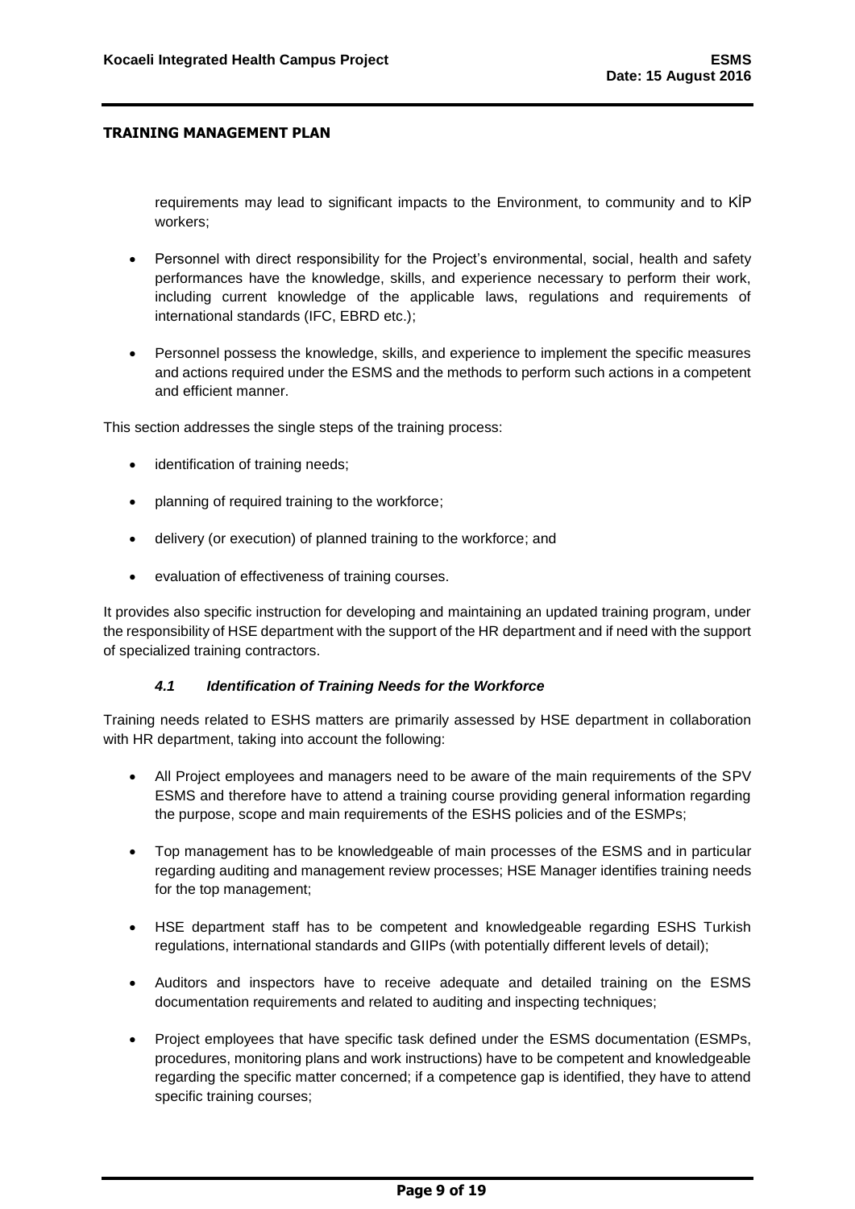requirements may lead to significant impacts to the Environment, to community and to KİP workers;

- Personnel with direct responsibility for the Project's environmental, social, health and safety performances have the knowledge, skills, and experience necessary to perform their work, including current knowledge of the applicable laws, regulations and requirements of international standards (IFC, EBRD etc.);
- Personnel possess the knowledge, skills, and experience to implement the specific measures and actions required under the ESMS and the methods to perform such actions in a competent and efficient manner.

This section addresses the single steps of the training process:

- identification of training needs;
- planning of required training to the workforce;
- delivery (or execution) of planned training to the workforce; and
- evaluation of effectiveness of training courses.

It provides also specific instruction for developing and maintaining an updated training program, under the responsibility of HSE department with the support of the HR department and if need with the support of specialized training contractors.

#### *4.1 Identification of Training Needs for the Workforce*

<span id="page-9-0"></span>Training needs related to ESHS matters are primarily assessed by HSE department in collaboration with HR department, taking into account the following:

- All Project employees and managers need to be aware of the main requirements of the SPV ESMS and therefore have to attend a training course providing general information regarding the purpose, scope and main requirements of the ESHS policies and of the ESMPs;
- Top management has to be knowledgeable of main processes of the ESMS and in particular regarding auditing and management review processes; HSE Manager identifies training needs for the top management;
- HSE department staff has to be competent and knowledgeable regarding ESHS Turkish regulations, international standards and GIIPs (with potentially different levels of detail);
- Auditors and inspectors have to receive adequate and detailed training on the ESMS documentation requirements and related to auditing and inspecting techniques;
- Project employees that have specific task defined under the ESMS documentation (ESMPs, procedures, monitoring plans and work instructions) have to be competent and knowledgeable regarding the specific matter concerned; if a competence gap is identified, they have to attend specific training courses;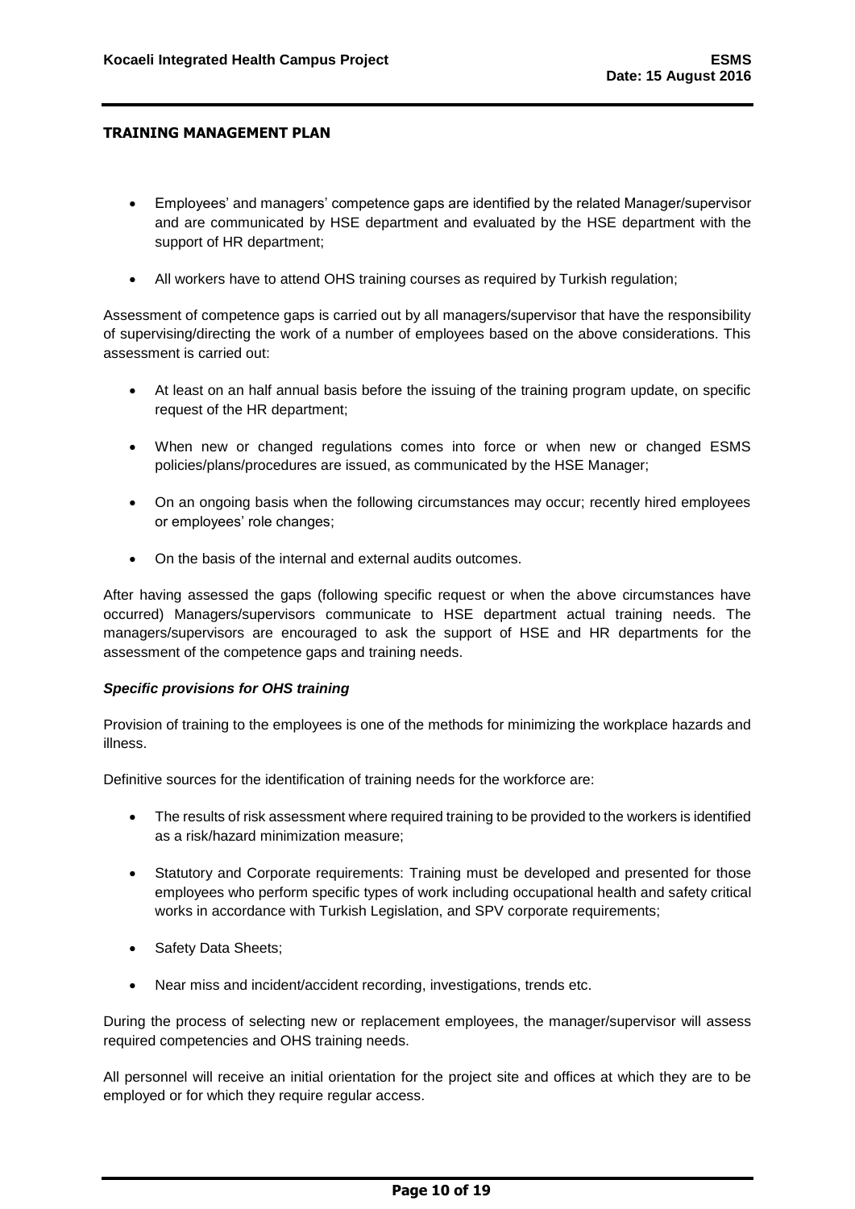- Employees' and managers' competence gaps are identified by the related Manager/supervisor and are communicated by HSE department and evaluated by the HSE department with the support of HR department;
- All workers have to attend OHS training courses as required by Turkish regulation;

Assessment of competence gaps is carried out by all managers/supervisor that have the responsibility of supervising/directing the work of a number of employees based on the above considerations. This assessment is carried out:

- At least on an half annual basis before the issuing of the training program update, on specific request of the HR department;
- When new or changed regulations comes into force or when new or changed ESMS policies/plans/procedures are issued, as communicated by the HSE Manager;
- On an ongoing basis when the following circumstances may occur; recently hired employees or employees' role changes;
- On the basis of the internal and external audits outcomes.

After having assessed the gaps (following specific request or when the above circumstances have occurred) Managers/supervisors communicate to HSE department actual training needs. The managers/supervisors are encouraged to ask the support of HSE and HR departments for the assessment of the competence gaps and training needs.

#### *Specific provisions for OHS training*

Provision of training to the employees is one of the methods for minimizing the workplace hazards and illness.

Definitive sources for the identification of training needs for the workforce are:

- The results of risk assessment where required training to be provided to the workers is identified as a risk/hazard minimization measure;
- Statutory and Corporate requirements: Training must be developed and presented for those employees who perform specific types of work including occupational health and safety critical works in accordance with Turkish Legislation, and SPV corporate requirements;
- Safety Data Sheets;
- Near miss and incident/accident recording, investigations, trends etc.

During the process of selecting new or replacement employees, the manager/supervisor will assess required competencies and OHS training needs.

All personnel will receive an initial orientation for the project site and offices at which they are to be employed or for which they require regular access.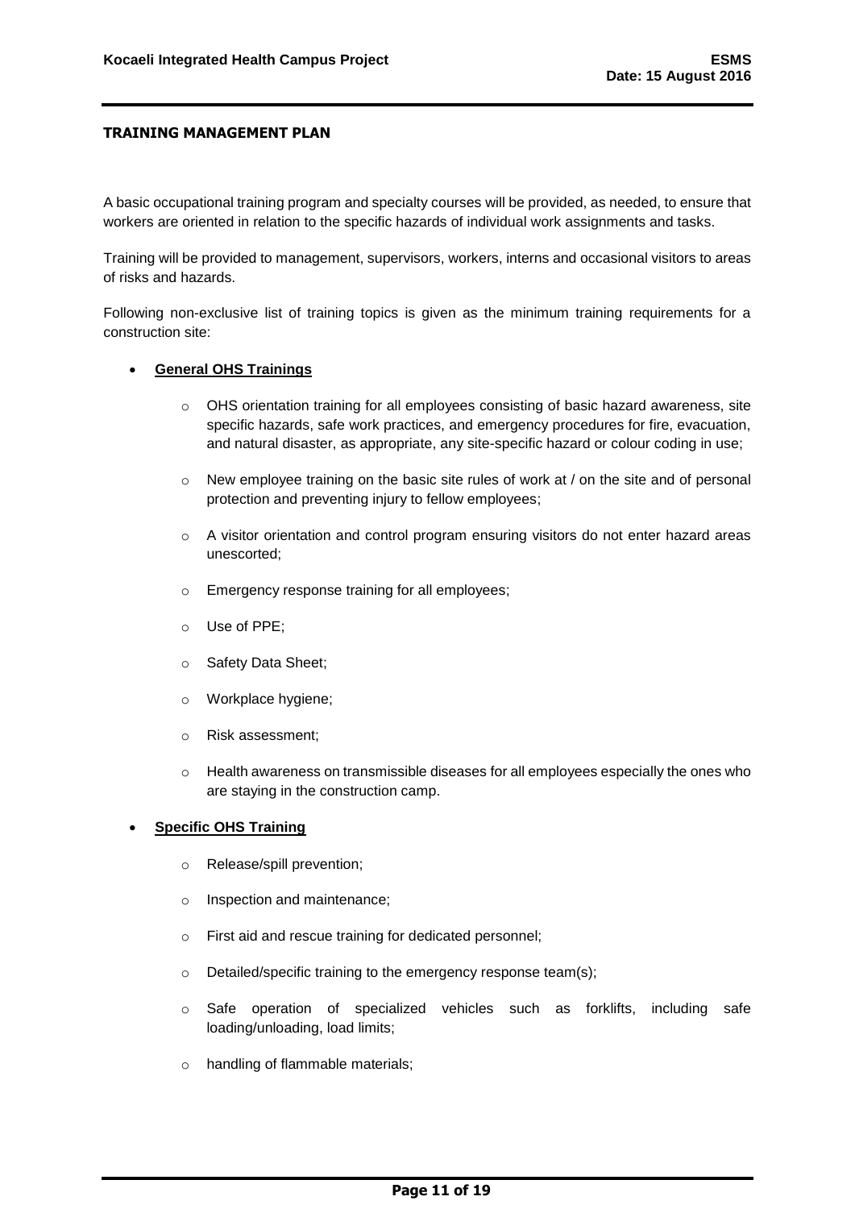A basic occupational training program and specialty courses will be provided, as needed, to ensure that workers are oriented in relation to the specific hazards of individual work assignments and tasks.

Training will be provided to management, supervisors, workers, interns and occasional visitors to areas of risks and hazards.

Following non-exclusive list of training topics is given as the minimum training requirements for a construction site:

#### **General OHS Trainings**

- $\circ$  OHS orientation training for all employees consisting of basic hazard awareness, site specific hazards, safe work practices, and emergency procedures for fire, evacuation, and natural disaster, as appropriate, any site-specific hazard or colour coding in use;
- $\circ$  New employee training on the basic site rules of work at / on the site and of personal protection and preventing injury to fellow employees;
- o A visitor orientation and control program ensuring visitors do not enter hazard areas unescorted;
- o Emergency response training for all employees;
- o Use of PPE;
- o Safety Data Sheet;
- o Workplace hygiene;
- o Risk assessment;
- $\circ$  Health awareness on transmissible diseases for all employees especially the ones who are staying in the construction camp.

## **Specific OHS Training**

- o Release/spill prevention;
- o Inspection and maintenance;
- o First aid and rescue training for dedicated personnel;
- o Detailed/specific training to the emergency response team(s);
- o Safe operation of specialized vehicles such as forklifts, including safe loading/unloading, load limits;
- o handling of flammable materials;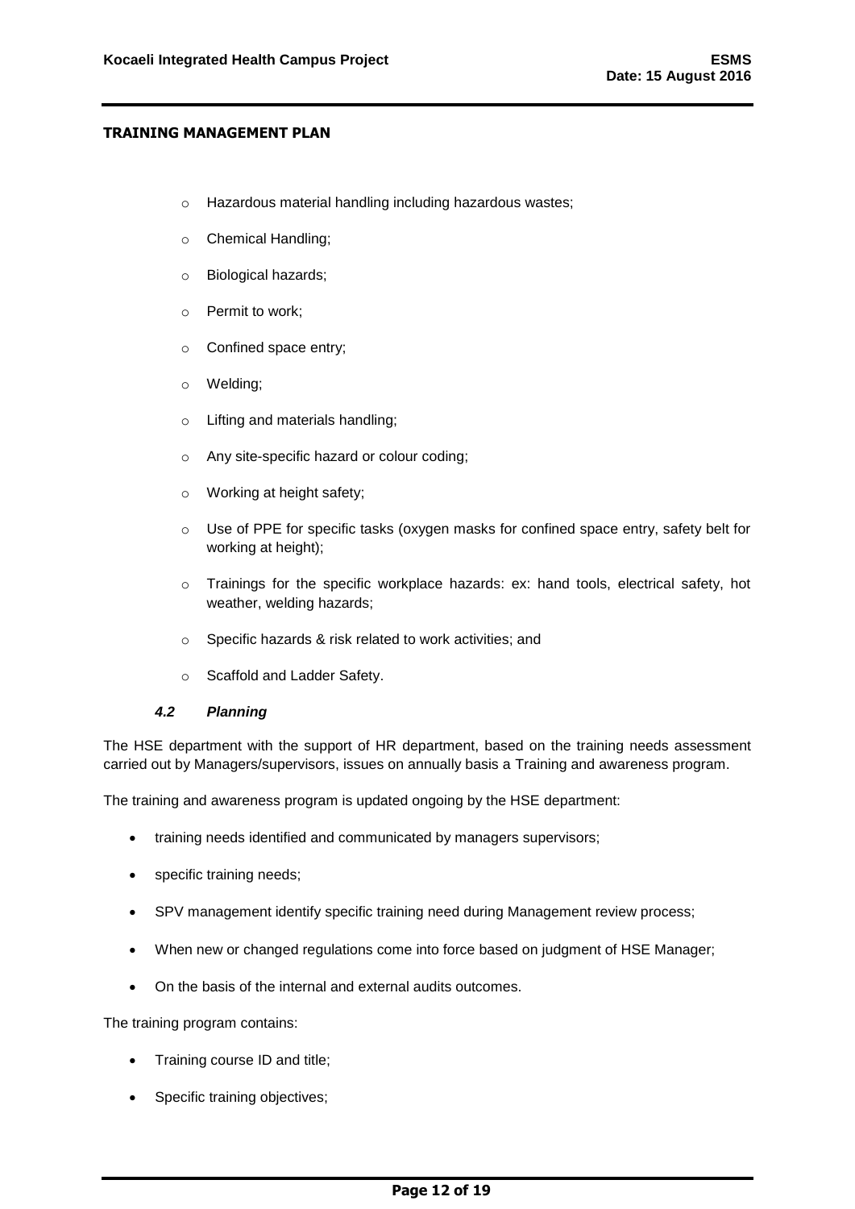- o Hazardous material handling including hazardous wastes;
- o Chemical Handling;
- o Biological hazards;
- o Permit to work;
- o Confined space entry;
- o Welding;
- o Lifting and materials handling;
- o Any site-specific hazard or colour coding;
- o Working at height safety;
- o Use of PPE for specific tasks (oxygen masks for confined space entry, safety belt for working at height);
- o Trainings for the specific workplace hazards: ex: hand tools, electrical safety, hot weather, welding hazards;
- o Specific hazards & risk related to work activities; and
- o Scaffold and Ladder Safety.

#### *4.2 Planning*

<span id="page-12-0"></span>The HSE department with the support of HR department, based on the training needs assessment carried out by Managers/supervisors, issues on annually basis a Training and awareness program.

The training and awareness program is updated ongoing by the HSE department:

- training needs identified and communicated by managers supervisors;
- specific training needs:
- SPV management identify specific training need during Management review process;
- When new or changed regulations come into force based on judgment of HSE Manager;
- On the basis of the internal and external audits outcomes.

The training program contains:

- Training course ID and title;
- Specific training objectives;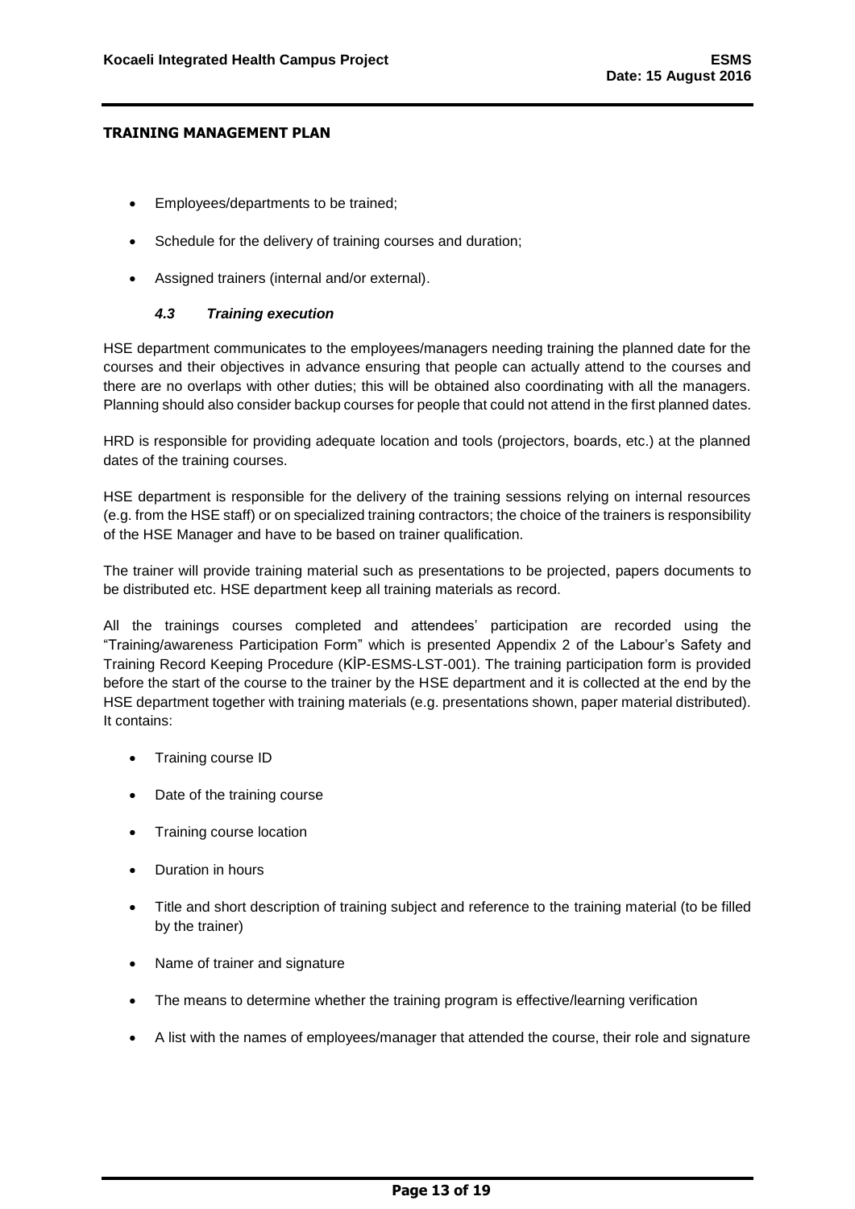- Employees/departments to be trained;
- Schedule for the delivery of training courses and duration;
- Assigned trainers (internal and/or external).

## *4.3 Training execution*

<span id="page-13-0"></span>HSE department communicates to the employees/managers needing training the planned date for the courses and their objectives in advance ensuring that people can actually attend to the courses and there are no overlaps with other duties; this will be obtained also coordinating with all the managers. Planning should also consider backup courses for people that could not attend in the first planned dates.

HRD is responsible for providing adequate location and tools (projectors, boards, etc.) at the planned dates of the training courses.

HSE department is responsible for the delivery of the training sessions relying on internal resources (e.g. from the HSE staff) or on specialized training contractors; the choice of the trainers is responsibility of the HSE Manager and have to be based on trainer qualification.

The trainer will provide training material such as presentations to be projected, papers documents to be distributed etc. HSE department keep all training materials as record.

All the trainings courses completed and attendees' participation are recorded using the "Training/awareness Participation Form" which is presented Appendix 2 of the Labour's Safety and Training Record Keeping Procedure (KİP-ESMS-LST-001). The training participation form is provided before the start of the course to the trainer by the HSE department and it is collected at the end by the HSE department together with training materials (e.g. presentations shown, paper material distributed). It contains:

- Training course ID
- Date of the training course
- Training course location
- Duration in hours
- Title and short description of training subject and reference to the training material (to be filled by the trainer)
- Name of trainer and signature
- The means to determine whether the training program is effective/learning verification
- A list with the names of employees/manager that attended the course, their role and signature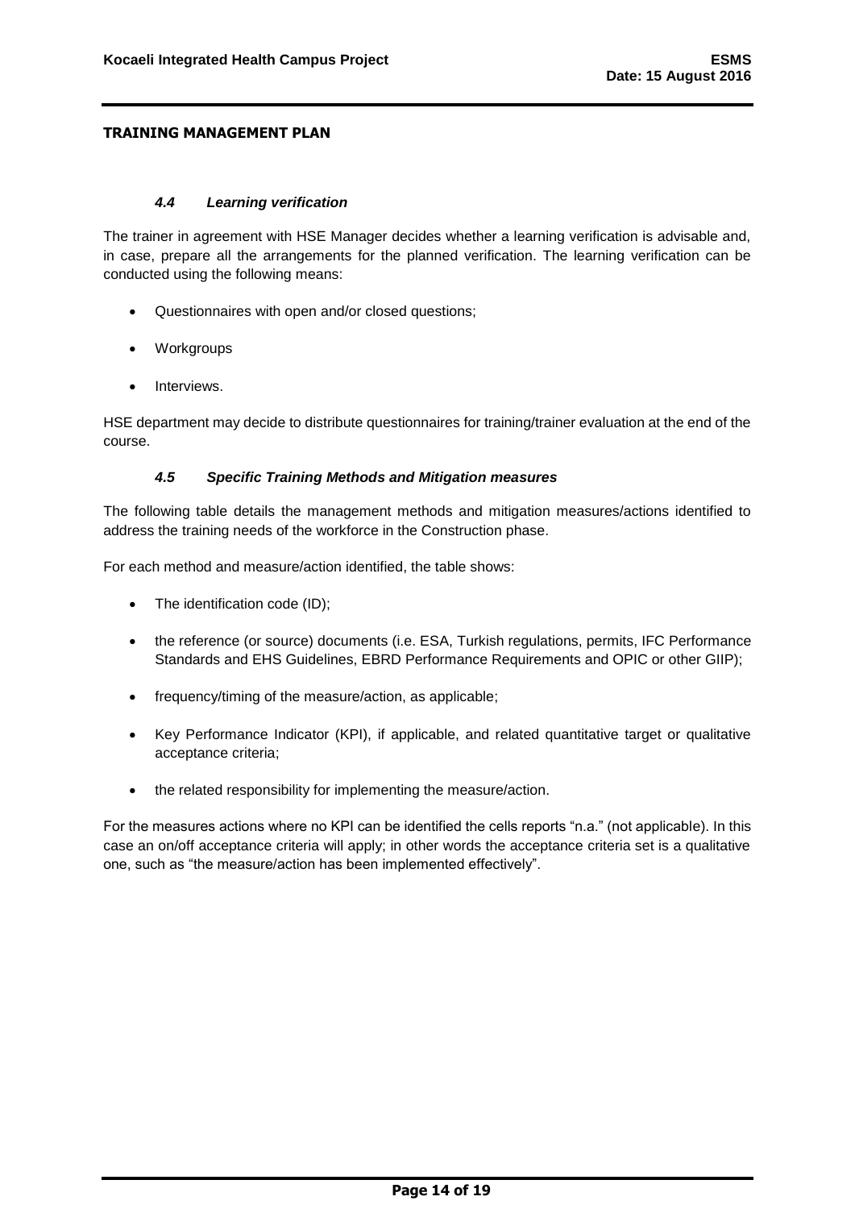## *4.4 Learning verification*

<span id="page-14-0"></span>The trainer in agreement with HSE Manager decides whether a learning verification is advisable and, in case, prepare all the arrangements for the planned verification. The learning verification can be conducted using the following means:

- Questionnaires with open and/or closed questions;
- Workgroups
- Interviews.

HSE department may decide to distribute questionnaires for training/trainer evaluation at the end of the course.

## *4.5 Specific Training Methods and Mitigation measures*

<span id="page-14-1"></span>The following table details the management methods and mitigation measures/actions identified to address the training needs of the workforce in the Construction phase.

For each method and measure/action identified, the table shows:

- The identification code (ID);
- the reference (or source) documents (i.e. ESA, Turkish regulations, permits, IFC Performance Standards and EHS Guidelines, EBRD Performance Requirements and OPIC or other GIIP);
- frequency/timing of the measure/action, as applicable;
- Key Performance Indicator (KPI), if applicable, and related quantitative target or qualitative acceptance criteria;
- the related responsibility for implementing the measure/action.

For the measures actions where no KPI can be identified the cells reports "n.a." (not applicable). In this case an on/off acceptance criteria will apply; in other words the acceptance criteria set is a qualitative one, such as "the measure/action has been implemented effectively".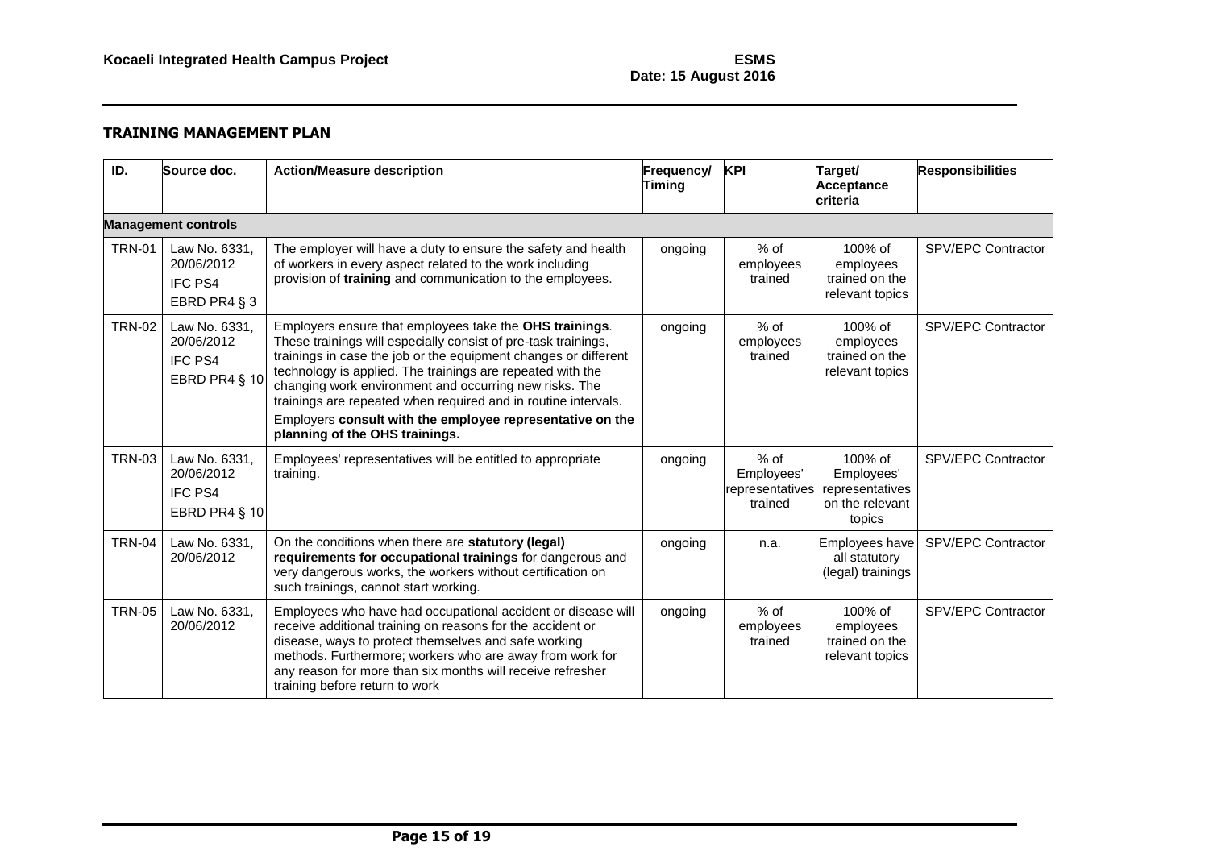# **Date: 15 August 2016**

| ID.           | Source doc.                                                    | <b>Action/Measure description</b>                                                                                                                                                                                                                                                                                                                                                                                                                                                     | Frequency/<br><b>Timing</b> | <b>KPI</b>                                         | Target/<br><b>Acceptance</b><br>criteria                              | <b>Responsibilities</b> |  |  |
|---------------|----------------------------------------------------------------|---------------------------------------------------------------------------------------------------------------------------------------------------------------------------------------------------------------------------------------------------------------------------------------------------------------------------------------------------------------------------------------------------------------------------------------------------------------------------------------|-----------------------------|----------------------------------------------------|-----------------------------------------------------------------------|-------------------------|--|--|
|               | <b>Management controls</b>                                     |                                                                                                                                                                                                                                                                                                                                                                                                                                                                                       |                             |                                                    |                                                                       |                         |  |  |
| <b>TRN-01</b> | Law No. 6331,<br>20/06/2012<br><b>IFC PS4</b><br>EBRD PR4 § 3  | The employer will have a duty to ensure the safety and health<br>of workers in every aspect related to the work including<br>provision of training and communication to the employees.                                                                                                                                                                                                                                                                                                | ongoing                     | $%$ of<br>employees<br>trained                     | 100% of<br>employees<br>trained on the<br>relevant topics             | SPV/EPC Contractor      |  |  |
| <b>TRN-02</b> | Law No. 6331,<br>20/06/2012<br><b>IFC PS4</b><br>EBRD PR4 § 10 | Employers ensure that employees take the OHS trainings.<br>These trainings will especially consist of pre-task trainings,<br>trainings in case the job or the equipment changes or different<br>technology is applied. The trainings are repeated with the<br>changing work environment and occurring new risks. The<br>trainings are repeated when required and in routine intervals.<br>Employers consult with the employee representative on the<br>planning of the OHS trainings. | ongoing                     | $%$ of<br>employees<br>trained                     | 100% of<br>employees<br>trained on the<br>relevant topics             | SPV/EPC Contractor      |  |  |
| <b>TRN-03</b> | Law No. 6331,<br>20/06/2012<br><b>IFC PS4</b><br>EBRD PR4 § 10 | Employees' representatives will be entitled to appropriate<br>training.                                                                                                                                                                                                                                                                                                                                                                                                               | ongoing                     | $%$ of<br>Employees'<br>representatives<br>trained | 100% of<br>Employees'<br>representatives<br>on the relevant<br>topics | SPV/EPC Contractor      |  |  |
| <b>TRN-04</b> | Law No. 6331,<br>20/06/2012                                    | On the conditions when there are statutory (legal)<br>requirements for occupational trainings for dangerous and<br>very dangerous works, the workers without certification on<br>such trainings, cannot start working.                                                                                                                                                                                                                                                                | ongoing                     | n.a.                                               | Employees have<br>all statutory<br>(legal) trainings                  | SPV/EPC Contractor      |  |  |
| <b>TRN-05</b> | Law No. 6331,<br>20/06/2012                                    | Employees who have had occupational accident or disease will<br>receive additional training on reasons for the accident or<br>disease, ways to protect themselves and safe working<br>methods. Furthermore; workers who are away from work for<br>any reason for more than six months will receive refresher<br>training before return to work                                                                                                                                        | ongoing                     | $%$ of<br>employees<br>trained                     | 100% of<br>employees<br>trained on the<br>relevant topics             | SPV/EPC Contractor      |  |  |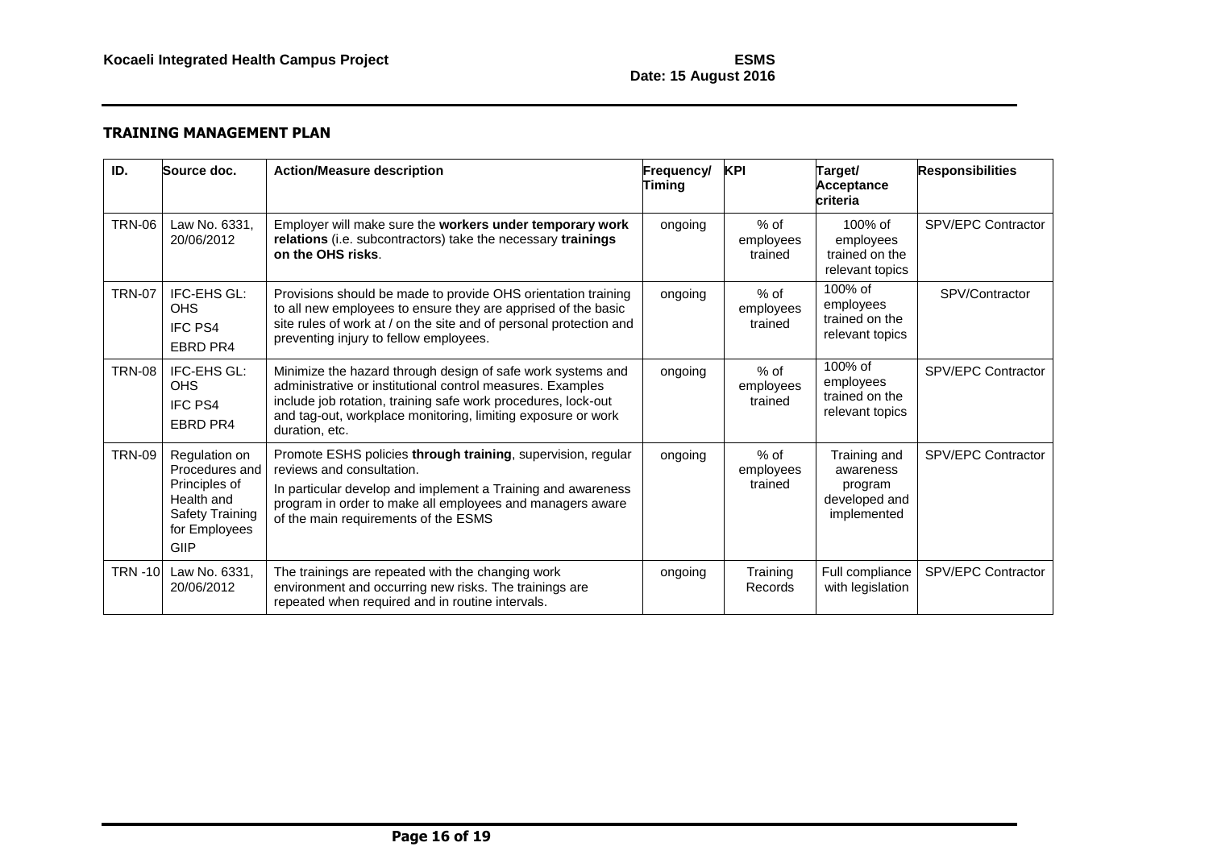# **Date: 15 August 2016**

| ID.           | Source doc.                                                                                                       | <b>Action/Measure description</b>                                                                                                                                                                                                                                            | Frequency/<br>Timing | <b>KPI</b>                     | Target/<br><b>Acceptance</b><br>criteria                             | <b>Responsibilities</b>   |
|---------------|-------------------------------------------------------------------------------------------------------------------|------------------------------------------------------------------------------------------------------------------------------------------------------------------------------------------------------------------------------------------------------------------------------|----------------------|--------------------------------|----------------------------------------------------------------------|---------------------------|
| <b>TRN-06</b> | Law No. 6331.<br>20/06/2012                                                                                       | Employer will make sure the workers under temporary work<br>relations (i.e. subcontractors) take the necessary trainings<br>on the OHS risks.                                                                                                                                | ongoing              | $%$ of<br>employees<br>trained | $100\%$ of<br>employees<br>trained on the<br>relevant topics         | <b>SPV/EPC Contractor</b> |
| <b>TRN-07</b> | IFC-EHS GL:<br><b>OHS</b><br><b>IFC PS4</b><br><b>EBRD PR4</b>                                                    | Provisions should be made to provide OHS orientation training<br>to all new employees to ensure they are apprised of the basic<br>site rules of work at / on the site and of personal protection and<br>preventing injury to fellow employees.                               | ongoing              | $%$ of<br>employees<br>trained | 100% of<br>employees<br>trained on the<br>relevant topics            | SPV/Contractor            |
| <b>TRN-08</b> | IFC-EHS GL:<br><b>OHS</b><br><b>IFC PS4</b><br>EBRD PR4                                                           | Minimize the hazard through design of safe work systems and<br>administrative or institutional control measures. Examples<br>include job rotation, training safe work procedures, lock-out<br>and tag-out, workplace monitoring, limiting exposure or work<br>duration, etc. | ongoing              | $%$ of<br>employees<br>trained | 100% of<br>employees<br>trained on the<br>relevant topics            | <b>SPV/EPC Contractor</b> |
| <b>TRN-09</b> | Regulation on<br>Procedures and<br>Principles of<br>Health and<br><b>Safety Training</b><br>for Employees<br>GIIP | Promote ESHS policies through training, supervision, regular<br>reviews and consultation.<br>In particular develop and implement a Training and awareness<br>program in order to make all employees and managers aware<br>of the main requirements of the ESMS               | ongoing              | % of<br>employees<br>trained   | Training and<br>awareness<br>program<br>developed and<br>implemented | <b>SPV/EPC Contractor</b> |
| <b>TRN-10</b> | Law No. 6331,<br>20/06/2012                                                                                       | The trainings are repeated with the changing work<br>environment and occurring new risks. The trainings are<br>repeated when required and in routine intervals.                                                                                                              | ongoing              | Training<br>Records            | Full compliance<br>with legislation                                  | SPV/EPC Contractor        |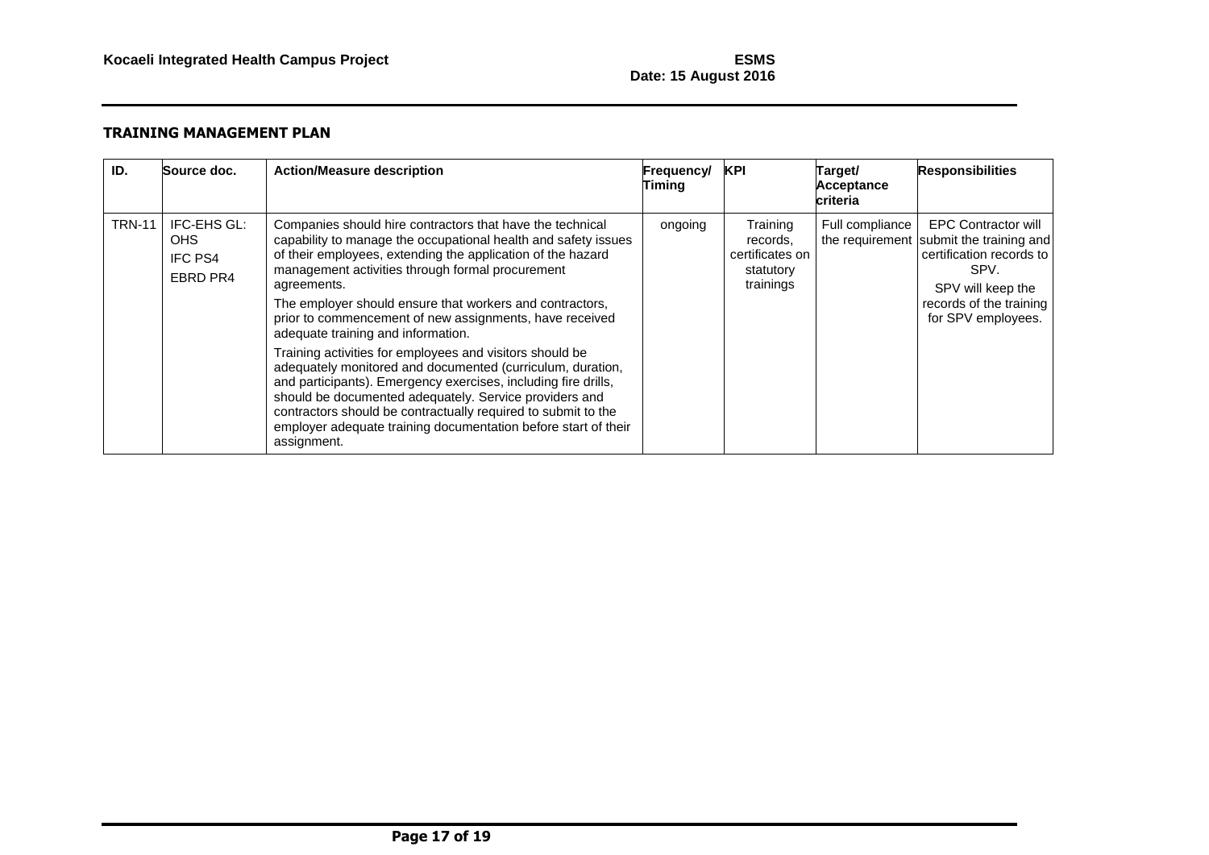# **Date: 15 August 2016**

| ID.           | Source doc.                                       | <b>Action/Measure description</b>                                                                                                                                                                                                                                                                                                                                                                                                                                                                                                                                                                                                                                                                                                                                                                                                  | Frequency/<br>Timing | KPI                                                               | Target/<br>Acceptance<br>criteria | <b>Responsibilities</b>                                                                                                                                                         |
|---------------|---------------------------------------------------|------------------------------------------------------------------------------------------------------------------------------------------------------------------------------------------------------------------------------------------------------------------------------------------------------------------------------------------------------------------------------------------------------------------------------------------------------------------------------------------------------------------------------------------------------------------------------------------------------------------------------------------------------------------------------------------------------------------------------------------------------------------------------------------------------------------------------------|----------------------|-------------------------------------------------------------------|-----------------------------------|---------------------------------------------------------------------------------------------------------------------------------------------------------------------------------|
| <b>TRN-11</b> | IFC-EHS GL:<br>OHS.<br><b>IFC PS4</b><br>EBRD PR4 | Companies should hire contractors that have the technical<br>capability to manage the occupational health and safety issues<br>of their employees, extending the application of the hazard<br>management activities through formal procurement<br>agreements.<br>The employer should ensure that workers and contractors,<br>prior to commencement of new assignments, have received<br>adequate training and information.<br>Training activities for employees and visitors should be<br>adequately monitored and documented (curriculum, duration,<br>and participants). Emergency exercises, including fire drills,<br>should be documented adequately. Service providers and<br>contractors should be contractually required to submit to the<br>employer adequate training documentation before start of their<br>assignment. | ongoing              | Training<br>records,<br>certificates on<br>statutory<br>trainings | Full compliance                   | <b>EPC Contractor will</b><br>the requirement submit the training and<br>certification records to<br>SPV.<br>SPV will keep the<br>records of the training<br>for SPV employees. |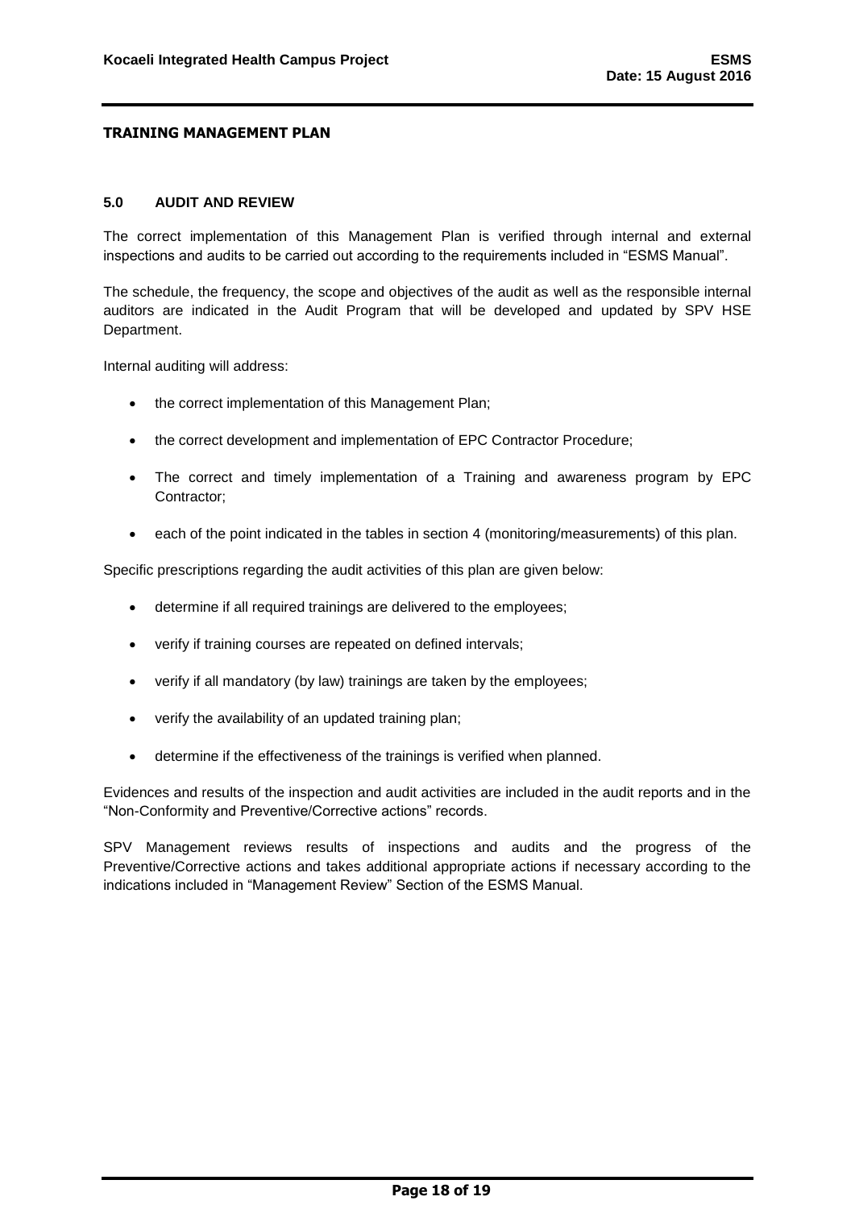#### <span id="page-18-0"></span>**5.0 AUDIT AND REVIEW**

The correct implementation of this Management Plan is verified through internal and external inspections and audits to be carried out according to the requirements included in "ESMS Manual".

The schedule, the frequency, the scope and objectives of the audit as well as the responsible internal auditors are indicated in the Audit Program that will be developed and updated by SPV HSE Department.

Internal auditing will address:

- the correct implementation of this Management Plan;
- the correct development and implementation of EPC Contractor Procedure;
- The correct and timely implementation of a Training and awareness program by EPC Contractor;
- each of the point indicated in the tables in section 4 (monitoring/measurements) of this plan.

Specific prescriptions regarding the audit activities of this plan are given below:

- determine if all required trainings are delivered to the employees;
- verify if training courses are repeated on defined intervals;
- verify if all mandatory (by law) trainings are taken by the employees;
- verify the availability of an updated training plan;
- determine if the effectiveness of the trainings is verified when planned.

Evidences and results of the inspection and audit activities are included in the audit reports and in the "Non-Conformity and Preventive/Corrective actions" records.

SPV Management reviews results of inspections and audits and the progress of the Preventive/Corrective actions and takes additional appropriate actions if necessary according to the indications included in "Management Review" Section of the ESMS Manual.